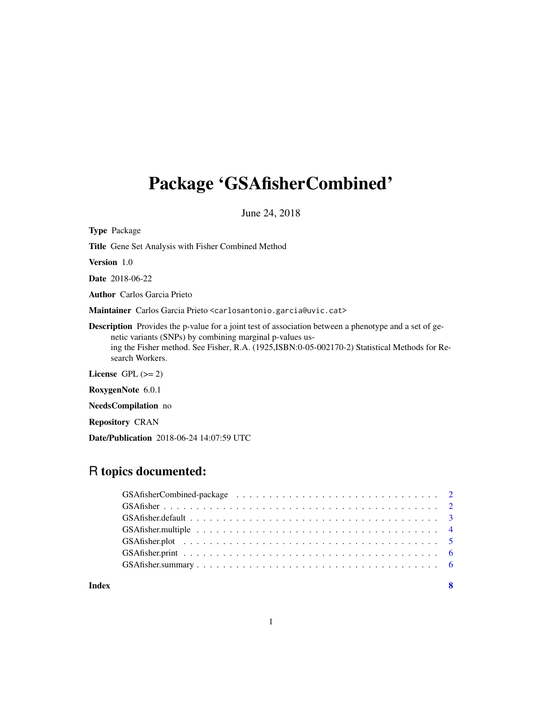# Package 'GSAfisherCombined'

June 24, 2018

Type Package Title Gene Set Analysis with Fisher Combined Method Version 1.0 Date 2018-06-22 Author Carlos Garcia Prieto Maintainer Carlos Garcia Prieto <carlosantonio.garcia@uvic.cat> Description Provides the p-value for a joint test of association between a phenotype and a set of genetic variants (SNPs) by combining marginal p-values using the Fisher method. See Fisher, R.A. (1925,ISBN:0-05-002170-2) Statistical Methods for Research Workers. License GPL  $(>= 2)$ RoxygenNote 6.0.1 NeedsCompilation no

Repository CRAN

Date/Publication 2018-06-24 14:07:59 UTC

# R topics documented:

| Index | - 8 |
|-------|-----|

1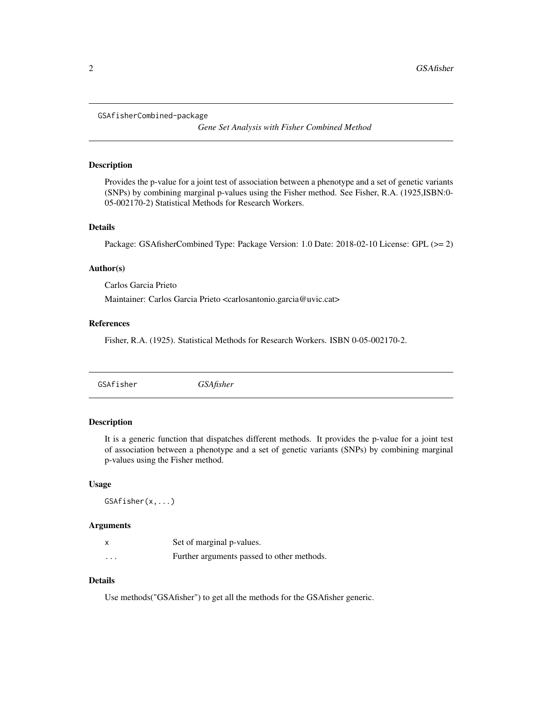```
GSAfisherCombined-package
```
*Gene Set Analysis with Fisher Combined Method*

# Description

Provides the p-value for a joint test of association between a phenotype and a set of genetic variants (SNPs) by combining marginal p-values using the Fisher method. See Fisher, R.A. (1925,ISBN:0- 05-002170-2) Statistical Methods for Research Workers.

### Details

Package: GSAfisherCombined Type: Package Version: 1.0 Date: 2018-02-10 License: GPL (>= 2)

# Author(s)

Carlos Garcia Prieto

Maintainer: Carlos Garcia Prieto <carlosantonio.garcia@uvic.cat>

# References

Fisher, R.A. (1925). Statistical Methods for Research Workers. ISBN 0-05-002170-2.

|  | <i><b>GSAfisher</b></i> | GSAfisher |
|--|-------------------------|-----------|
|--|-------------------------|-----------|

# Description

It is a generic function that dispatches different methods. It provides the p-value for a joint test of association between a phenotype and a set of genetic variants (SNPs) by combining marginal p-values using the Fisher method.

#### Usage

GSAfisher(x,...)

#### Arguments

|          | Set of marginal p-values.                  |
|----------|--------------------------------------------|
| $\cdots$ | Further arguments passed to other methods. |

# Details

Use methods("GSAfisher") to get all the methods for the GSAfisher generic.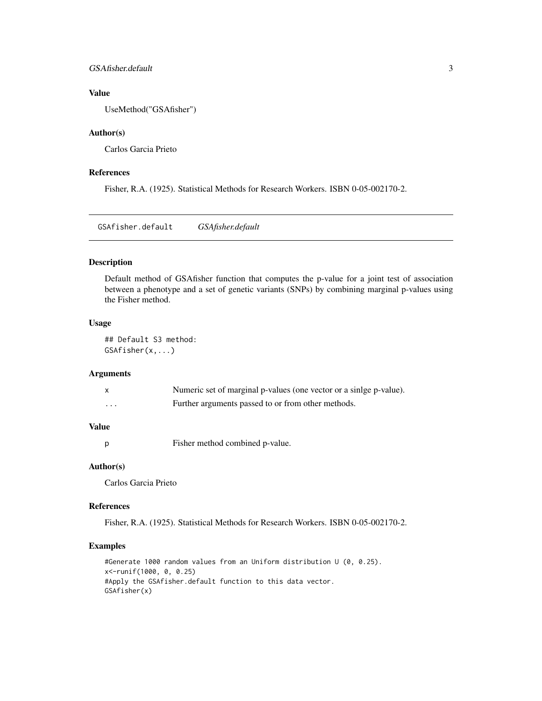# <span id="page-2-0"></span>GSAfisher.default 3

# Value

UseMethod("GSAfisher")

# Author(s)

Carlos Garcia Prieto

# References

Fisher, R.A. (1925). Statistical Methods for Research Workers. ISBN 0-05-002170-2.

GSAfisher.default *GSAfisher.default*

# Description

Default method of GSAfisher function that computes the p-value for a joint test of association between a phenotype and a set of genetic variants (SNPs) by combining marginal p-values using the Fisher method.

# Usage

## Default S3 method: GSAfisher(x,...)

# Arguments

|   | Numeric set of marginal p-values (one vector or a sinige p-value). |
|---|--------------------------------------------------------------------|
| . | Further arguments passed to or from other methods.                 |

# Value

p Fisher method combined p-value.

#### Author(s)

Carlos Garcia Prieto

#### References

Fisher, R.A. (1925). Statistical Methods for Research Workers. ISBN 0-05-002170-2.

```
#Generate 1000 random values from an Uniform distribution U (0, 0.25).
x<-runif(1000, 0, 0.25)
#Apply the GSAfisher.default function to this data vector.
GSAfisher(x)
```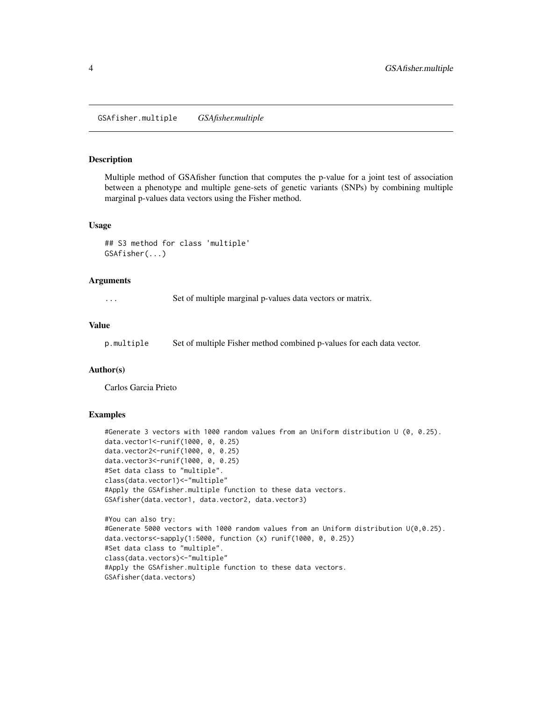<span id="page-3-0"></span>GSAfisher.multiple *GSAfisher.multiple*

# Description

Multiple method of GSAfisher function that computes the p-value for a joint test of association between a phenotype and multiple gene-sets of genetic variants (SNPs) by combining multiple marginal p-values data vectors using the Fisher method.

#### Usage

## S3 method for class 'multiple' GSAfisher(...)

# Arguments

... Set of multiple marginal p-values data vectors or matrix.

#### Value

p.multiple Set of multiple Fisher method combined p-values for each data vector.

# Author(s)

Carlos Garcia Prieto

```
#Generate 3 vectors with 1000 random values from an Uniform distribution U (0, 0.25).
data.vector1<-runif(1000, 0, 0.25)
data.vector2<-runif(1000, 0, 0.25)
data.vector3<-runif(1000, 0, 0.25)
#Set data class to "multiple".
class(data.vector1)<-"multiple"
#Apply the GSAfisher.multiple function to these data vectors.
GSAfisher(data.vector1, data.vector2, data.vector3)
#You can also try:
```

```
#Generate 5000 vectors with 1000 random values from an Uniform distribution U(0,0.25).
data.vectors<-sapply(1:5000, function (x) runif(1000, 0, 0.25))
#Set data class to "multiple".
class(data.vectors)<-"multiple"
#Apply the GSAfisher.multiple function to these data vectors.
GSAfisher(data.vectors)
```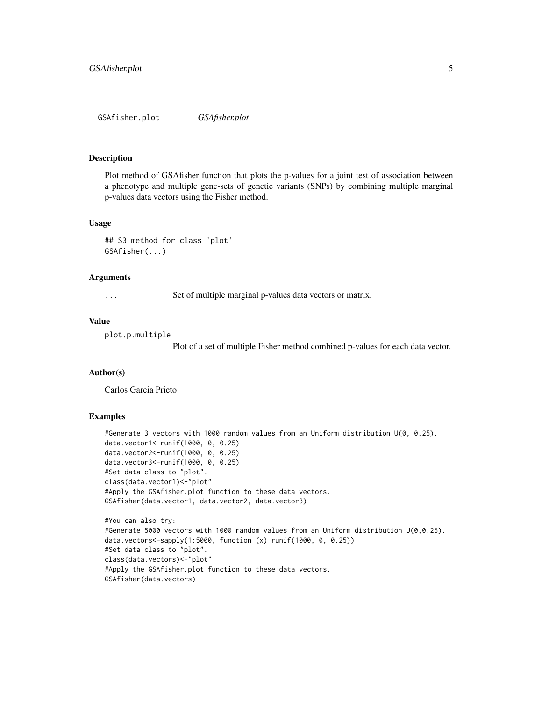#### <span id="page-4-0"></span>Description

Plot method of GSAfisher function that plots the p-values for a joint test of association between a phenotype and multiple gene-sets of genetic variants (SNPs) by combining multiple marginal p-values data vectors using the Fisher method.

#### Usage

## S3 method for class 'plot' GSAfisher(...)

# Arguments

... Set of multiple marginal p-values data vectors or matrix.

# Value

```
plot.p.multiple
```
Plot of a set of multiple Fisher method combined p-values for each data vector.

# Author(s)

Carlos Garcia Prieto

```
#Generate 3 vectors with 1000 random values from an Uniform distribution U(0, 0.25).
data.vector1<-runif(1000, 0, 0.25)
data.vector2<-runif(1000, 0, 0.25)
data.vector3<-runif(1000, 0, 0.25)
#Set data class to "plot".
class(data.vector1)<-"plot"
#Apply the GSAfisher.plot function to these data vectors.
GSAfisher(data.vector1, data.vector2, data.vector3)
#You can also try:
```

```
#Generate 5000 vectors with 1000 random values from an Uniform distribution U(0,0.25).
data.vectors<-sapply(1:5000, function (x) runif(1000, 0, 0.25))
#Set data class to "plot".
class(data.vectors)<-"plot"
#Apply the GSAfisher.plot function to these data vectors.
GSAfisher(data.vectors)
```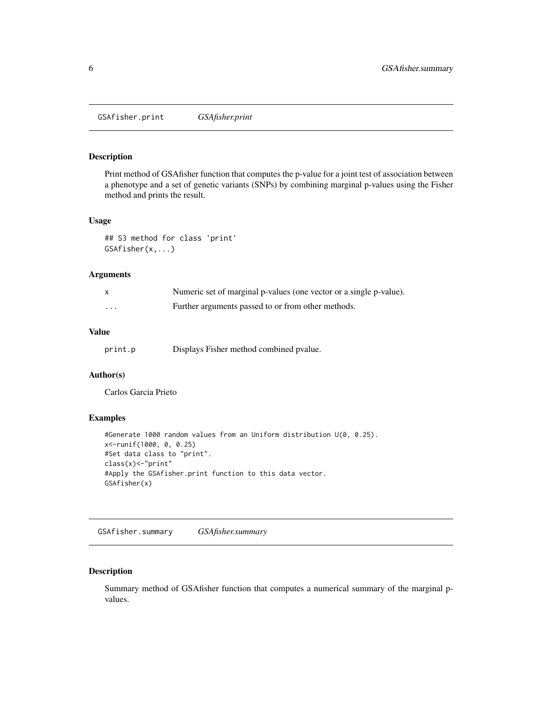<span id="page-5-0"></span>GSAfisher.print *GSAfisher.print*

# Description

Print method of GSAfisher function that computes the p-value for a joint test of association between a phenotype and a set of genetic variants (SNPs) by combining marginal p-values using the Fisher method and prints the result.

# Usage

```
## S3 method for class 'print'
GSAfisher(x,...)
```
# Arguments

|          | Numeric set of marginal p-values (one vector or a single p-value). |
|----------|--------------------------------------------------------------------|
| $\cdots$ | Further arguments passed to or from other methods.                 |

# Value

| print.p |  |  | Displays Fisher method combined pvalue. |
|---------|--|--|-----------------------------------------|
|---------|--|--|-----------------------------------------|

# Author(s)

Carlos Garcia Prieto

# Examples

```
#Generate 1000 random values from an Uniform distribution U(0, 0.25).
x<-runif(1000, 0, 0.25)
#Set data class to "print".
class(x)<-"print"
#Apply the GSAfisher.print function to this data vector.
GSAfisher(x)
```
GSAfisher.summary *GSAfisher.summary*

# Description

Summary method of GSAfisher function that computes a numerical summary of the marginal pvalues.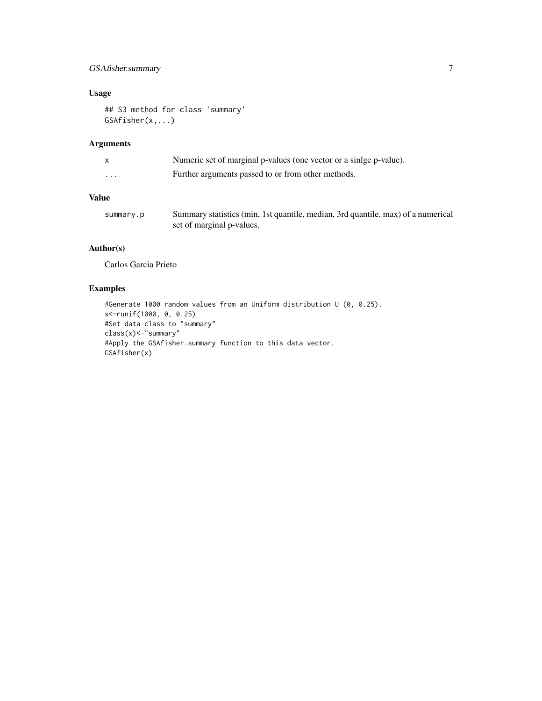# GSAfisher.summary 7

# Usage

```
## S3 method for class 'summary'
GSAfisher(x,...)
```
# Arguments

| X        | Numeric set of marginal p-values (one vector or a sinlge p-value). |
|----------|--------------------------------------------------------------------|
| $\cdots$ | Further arguments passed to or from other methods.                 |
|          |                                                                    |

# Value

| summary.p | Summary statistics (min, 1st quantile, median, 3rd quantile, max) of a numerical |
|-----------|----------------------------------------------------------------------------------|
|           | set of marginal p-values.                                                        |

# Author(s)

Carlos Garcia Prieto

```
#Generate 1000 random values from an Uniform distribution U (0, 0.25).
x<-runif(1000, 0, 0.25)
#Set data class to "summary"
class(x)<-"summary"
#Apply the GSAfisher.summary function to this data vector.
GSAfisher(x)
```